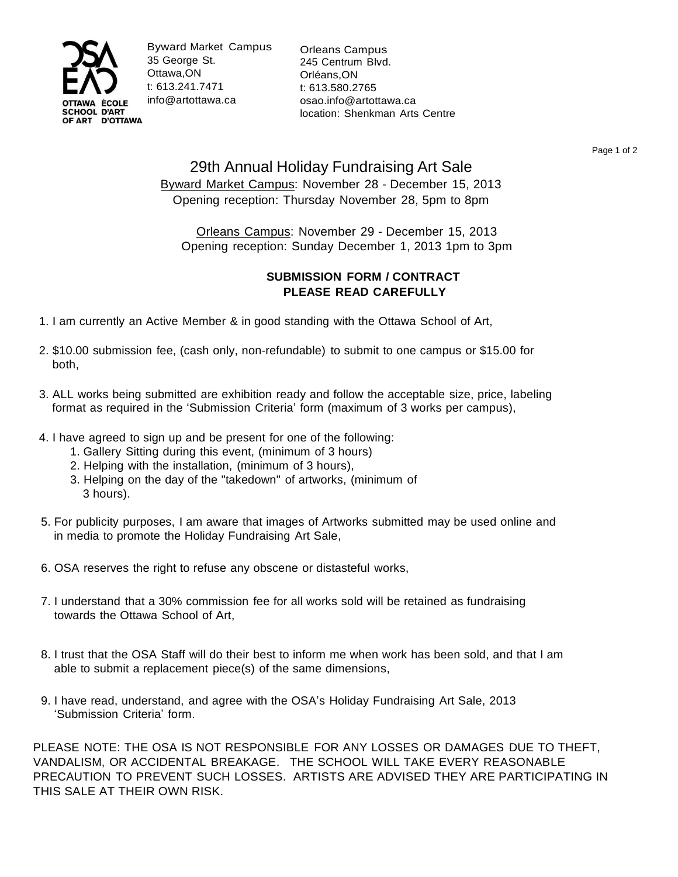

Byward Market Campus 35 George St. Ottawa,ON t: 613.241.7471 [info@artottawa.ca](mailto:info@artottawa.ca)

Orleans Campus 245 Centrum Blvd. Orléans,ON t: 613.580.2765 [osao.info@artottawa.ca](mailto:osao.info@artottawa.ca) location: Shenkman Arts Centre

Page 1 of 2

## 29th Annual Holiday Fundraising Art Sale Byward Market Campus: November 28 - December 15, 2013 Opening reception: Thursday November 28, 5pm to 8pm

Orleans Campus: November 29 - December 15, 2013 Opening reception: Sunday December 1, 2013 1pm to 3pm

## **SUBMISSION FORM / CONTRACT PLEASE READ CAREFULLY**

- 1. I am currently an Active Member & in good standing with the Ottawa School of Art,
- 2. \$10.00 submission fee, (cash only, non-refundable) to submit to one campus or \$15.00 for both,
- 3. ALL works being submitted are exhibition ready and follow the acceptable size, price, labeling format as required in the 'Submission Criteria' form (maximum of 3 works per campus),
- 4. I have agreed to sign up and be present for one of the following:
	- 1. Gallery Sitting during this event, (minimum of 3 hours)
	- 2. Helping with the installation, (minimum of 3 hours),
	- 3. Helping on the day of the "takedown" of artworks, (minimum of 3 hours).
- 5. For publicity purposes, I am aware that images of Artworks submitted may be used online and in media to promote the Holiday Fundraising Art Sale,
- 6. OSA reserves the right to refuse any obscene or distasteful works,
- 7. I understand that a 30% commission fee for all works sold will be retained as fundraising towards the Ottawa School of Art,
- 8. I trust that the OSA Staff will do their best to inform me when work has been sold, and that I am able to submit a replacement piece(s) of the same dimensions,
- 9. I have read, understand, and agree with the OSA's Holiday Fundraising Art Sale, 2013 'Submission Criteria' form.

PLEASE NOTE: THE OSA IS NOT RESPONSIBLE FOR ANY LOSSES OR DAMAGES DUE TO THEFT, VANDALISM, OR ACCIDENTAL BREAKAGE. THE SCHOOL WILL TAKE EVERY REASONABLE PRECAUTION TO PREVENT SUCH LOSSES. ARTISTS ARE ADVISED THEY ARE PARTICIPATING IN THIS SALE AT THEIR OWN RISK.